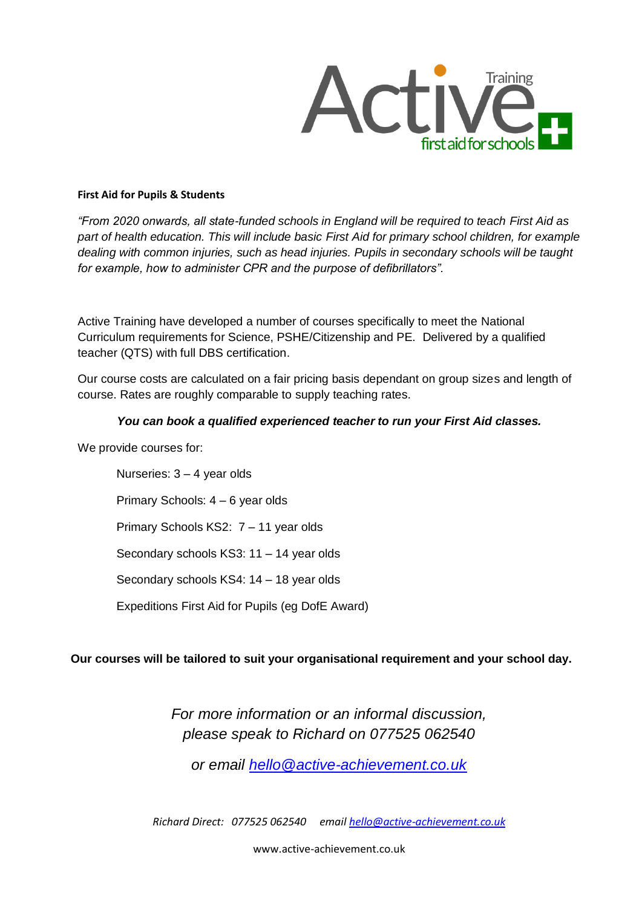

#### **First Aid for Pupils & Students**

*"From 2020 onwards, all state-funded schools in England will be required to teach First Aid as part of health education. This will include basic First Aid for primary school children, for example dealing with common injuries, such as head injuries. Pupils in secondary schools will be taught for example, how to administer CPR and the purpose of defibrillators".*

Active Training have developed a number of courses specifically to meet the National Curriculum requirements for Science, PSHE/Citizenship and PE. Delivered by a qualified teacher (QTS) with full DBS certification.

Our course costs are calculated on a fair pricing basis dependant on group sizes and length of course. Rates are roughly comparable to supply teaching rates.

#### *You can book a qualified experienced teacher to run your First Aid classes.*

We provide courses for:

Nurseries: 3 – 4 year olds Primary Schools: 4 – 6 year olds Primary Schools KS2: 7 – 11 year olds Secondary schools KS3: 11 – 14 year olds Secondary schools KS4: 14 – 18 year olds Expeditions First Aid for Pupils (eg DofE Award)

#### **Our courses will be tailored to suit your organisational requirement and your school day.**

*For more information or an informal discussion, please speak to Richard on 077525 062540*

*or email [hello@active-achievement.co.uk](mailto:hello@active-achievement.co.uk)*

*Richard Direct: 077525 062540 email hello@active-achievement.co.uk*

www.active-achievement.co.uk